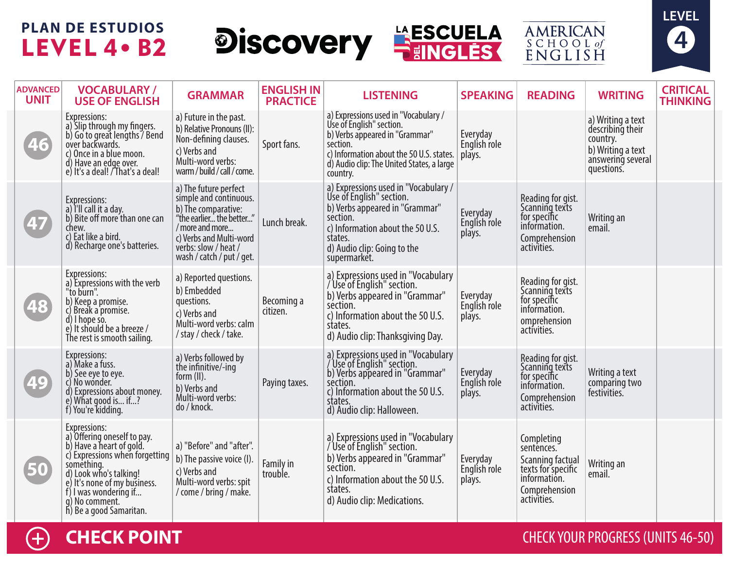# **PLAN DE ESTUDIOS** LEVEL 4 . B2









| <b>ADVANCED</b><br><b>UNIT</b> | <b>VOCABULARY/</b><br><b>USE OF ENGLISH</b>                                                                                                                                                                                                             | <b>GRAMMAR</b>                                                                                                                                                                                        | <b>ENGLISH IN</b><br><b>PRACTICE</b> | <b>LISTENING</b>                                                                                                                                                                                                    | <b>SPEAKING</b>                    | <b>READING</b>                                                                                                     | <b>WRITING</b>                                                                                            | <b>CRITICAL</b><br><b>THINKING</b> |
|--------------------------------|---------------------------------------------------------------------------------------------------------------------------------------------------------------------------------------------------------------------------------------------------------|-------------------------------------------------------------------------------------------------------------------------------------------------------------------------------------------------------|--------------------------------------|---------------------------------------------------------------------------------------------------------------------------------------------------------------------------------------------------------------------|------------------------------------|--------------------------------------------------------------------------------------------------------------------|-----------------------------------------------------------------------------------------------------------|------------------------------------|
| 46                             | Expressions:<br>a) Slip through my fingers.<br>b) Go to great lengths / Bend<br>over backwards.<br>c) Once in a blue moon.<br>d) Have an edge over.<br>e) It's a deal! / That's a deal!                                                                 | a) Future in the past.<br>b) Relative Pronouns (II):<br>Non-defining clauses.<br>c) Verbs and<br>Multi-word verbs:<br>warm / build / call / come.                                                     | Sport fans.                          | a) Expressions used in "Vocabulary /<br>Use of English" section.<br>b) Verbs appeared in "Grammar"<br>section.<br>c) Information about the 50 U.S. states.<br>d) Audio clip: The United States, a large<br>country. | Everyday<br>English role<br>plays. |                                                                                                                    | a) Writing a text<br>describing their<br>country.<br>b) Writing a text<br>answering several<br>questions. |                                    |
| 47                             | Expressions:<br>a) l'Il call it a day.<br>b) Bite off more than one can<br>chew.<br>c) Eat like a bird.<br>d) Recharge one's batteries.                                                                                                                 | a) The future perfect<br>simple and continuous.<br>b) The comparative:<br>"the earlier the better"<br>/ more and more<br>c) Verbs and Multi-word<br>verbs: slow / heat /<br>wash / catch / put / get. | Lunch break.                         | a) Expressions used in "Vocabulary /<br>Use of English" section.<br>b) Verbs appeared in "Grammar"<br>section.<br>c) Information about the 50 U.S.<br>states.<br>d) Audio clip: Going to the<br>supermarket.        | Everyday<br>English role<br>plays. | Reading for gist.<br>Scanning texts<br>for specific<br>information.<br>Comprehension<br>activities.                | Writing an<br>email.                                                                                      |                                    |
| 48                             | Expressions:<br>a) Expressions with the verb<br>"to burn".<br>b) Keep a promise.<br>c) Break a promise.<br>d) I hope so.<br>e) It should be a breeze /<br>The rest is smooth sailing.                                                                   | a) Reported questions.<br>b) Embedded<br>questions.<br>c) Verbs and<br>Multi-word verbs: calm<br>/ stay / check / take.                                                                               | Becoming a<br>citizen.               | a) Expressions used in "Vocabulary<br>/ Use of English" section.<br>b) Verbs appeared in "Grammar"<br>séction.<br>c) Information about the 50 U.S.<br>states.<br>d) Audio clip: Thanksgiving Day.                   | Everyday<br>English role<br>plays. | Reading for gist.<br>Scanning texts<br>for specific<br>information.<br>omprehension<br>activities.                 |                                                                                                           |                                    |
| 49                             | Expressions:<br>a) Make a fuss.<br>b) See eye to eye.<br>c) No wonder.<br>d) Expressions about money.<br>e) What good is if?<br>f) You're kidding.                                                                                                      | a) Verbs followed by<br>the infinitive/-ing<br>form (II).<br>b) Verbs and<br>Multi-word verbs:<br>do / knock.                                                                                         | Paying taxes.                        | a) Expressions used in "Vocabulary<br>/ Use of English" section.<br>b) Verbs appeared in "Grammar"<br>séction.<br>c) Information about the 50 U.S.<br>states.<br>d) Audio clip: Halloween.                          | Everyday<br>English role<br>plays. | Reading for gist.<br>Scanning texts<br>for specific<br>information.<br>Comprehension<br>activities.                | Writing a text<br>comparing two<br>festivities.                                                           |                                    |
| 50                             | Expressions:<br>a) Offering oneself to pay.<br>b) Have a heart of gold.<br>c) Expressions when forgetting<br>something.<br>d) Look who's talking!<br>e) It's none of my business.<br>f) I was wondering if<br>q) No comment.<br>h) Be a good Samaritan. | a) "Before" and "after".<br>b) The passive voice (I).<br>c) Verbs and<br>Multi-word verbs: spit<br>/ come / bring / make.                                                                             | Family in<br>trouble.                | a) Expressions used in "Vocabulary<br>/ Use of English" section.<br>b) Verbs appeared in "Grammar"<br>séction.<br>c) Information about the 50 U.S.<br>states.<br>d) Audio clip: Medications.                        | Everyday<br>English role<br>plays. | Completing<br>sentences.<br>Scanning factual<br>texts for specific<br>information.<br>Comprehension<br>activities. | Writing an<br>email.                                                                                      |                                    |

 $\left( +\right)$ 

## **CHECK POINT CHECK ACCESS** (UNITS 46-50)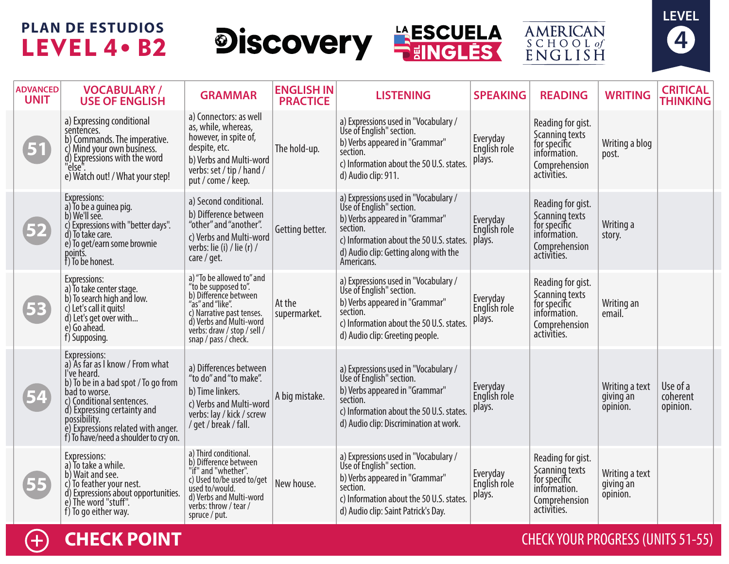# **PLAN DE ESTUDIOS** LEVEL 4 . B2







**AMERICAN** SCHOOL of<br>ENGLISH

| <b>ADVANCED</b><br><b>UNIT</b> | <b>VOCABULARY /</b><br><b>USE OF ENGLISH</b>                                                                                                                                                                                                                                      | <b>GRAMMAR</b>                                                                                                                                                                                                | <b>ENGLISH IN</b><br><b>PRACTICE</b> | <b>LISTENING</b>                                                                                                                                                                                                  | <b>SPEAKING</b>                    | <b>READING</b>                                                                                      | <b>WRITING</b>                          | <b>CRITICAL</b><br><b>THINKING</b> |
|--------------------------------|-----------------------------------------------------------------------------------------------------------------------------------------------------------------------------------------------------------------------------------------------------------------------------------|---------------------------------------------------------------------------------------------------------------------------------------------------------------------------------------------------------------|--------------------------------------|-------------------------------------------------------------------------------------------------------------------------------------------------------------------------------------------------------------------|------------------------------------|-----------------------------------------------------------------------------------------------------|-----------------------------------------|------------------------------------|
| 51                             | a) Expressing conditional<br>sentences.<br>b) Commands. The imperative.<br>c) Mind your own business.<br>d) Expressions with the word<br>e) Watch out! / What your step!                                                                                                          | a) Connectors: as well<br>as, while, whereas,<br>however, in spite of,<br>despite, etc.<br>b) Verbs and Multi-word<br>verbs: set / tip / hand /<br>put / come / keep.                                         | The hold-up.                         | a) Expressions used in "Vocabulary /<br>Use of English" section.<br>b) Verbs appeared in "Grammar"<br>section.<br>c) Information about the 50 U.S. states.<br>d) Audio clip: 911.                                 | Everyday<br>English role<br>plays. | Reading for gist.<br>Scanning texts<br>for specific<br>information.<br>Comprehension<br>activities. | Writing a blog<br>post.                 |                                    |
|                                | <b>Expressions:</b><br>a) To be a quinea pig.<br>b) We'll see.<br>c) Expressions with "better days".<br>d) To take care.<br>e) To get/earn some brownie<br>points.<br>f) To be honest.                                                                                            | a) Second conditional.<br>b) Difference between<br>"other" and "another".<br>c) Verbs and Multi-word<br>verbs: lie (i) / lie (r) /<br>care / get.                                                             | Getting better.                      | a) Expressions used in "Vocabulary /<br>Use of English" section.<br>b) Verbs appeared in "Grammar"<br>section.<br>c) Information about the 50 U.S. states.<br>d) Audio clip: Getting along with the<br>Americans. | Everyday<br>English role<br>plays. | Reading for gist.<br>Scanning texts<br>for specific<br>information.<br>Comprehension<br>activities. | Writing a<br>story.                     |                                    |
| 53                             | Expressions:<br>a) To take center stage.<br>b) To search high and low.<br>c) Let's call it quits!<br>d) Let's get over with<br>e) Go ahead.<br>f) Supposing.                                                                                                                      | a) "To be allowed to" and<br>"to be supposed to".<br>b) Difference between<br>"as" and "like".<br>c) Narrative past tenses.<br>d) Verbs and Multi-word<br>verbs: draw / stop / sell /<br>snap / pass / check. | At the<br>supermarket.               | a) Expressions used in "Vocabulary /<br>Use of English" section.<br>b) Verbs appeared in "Grammar"<br>section.<br>c) Information about the 50 U.S. states.<br>d) Audio clip: Greeting people.                     | Everyday<br>English role<br>plays. | Reading for gist.<br>Scanning texts<br>for specific<br>information.<br>Comprehension<br>activities. | Writing an<br>email.                    |                                    |
|                                | Expressions:<br>a) As far as I know / From what<br>I've heard.<br>b) To be in a bad spot / To go from<br>bad to worse.<br>c) Conditional sentences.<br>d) Expressing certainty and<br>possibility.<br>e) Expressions related with anger.<br>f) To have/need a shoulder to cry on. | a) Differences between<br>"to do" and "to make".<br>b) Time linkers.<br>c) Verbs and Multi-word<br>verbs: lay / kick / screw<br>/ get / break / fall.                                                         | A big mistake.                       | a) Expressions used in "Vocabulary /<br>Use of English" section.<br>b) Verbs appeared in "Grammar"<br>section.<br>c) Information about the 50 U.S. states.<br>d) Audio clip: Discrimination at work.              | Everyday<br>English role<br>plays. |                                                                                                     | Writing a text<br>giving an<br>opinion. | Use of a<br>coherent<br>opinion.   |
| 55                             | Expressions:<br>a) To take a while.<br>b) Wait and see.<br>c) To feather your nest.<br>d) Expressions about opportunities.<br>e) The word "stuff".<br>f) To go either way.                                                                                                        | a) Third conditional.<br>b) Difference between<br>"if" and "whether".<br>c) Used to/be used to/get<br>used to/would.<br>d) Verbs and Multi-word<br>verbs: throw / tear /<br>spruce / put.                     | New house.                           | a) Expressions used in "Vocabulary /<br>Use of English" section.<br>b) Verbs appeared in "Grammar"<br>section.<br>c) Information about the 50 U.S. states.<br>d) Audio clip: Saint Patrick's Day.                 | Everyday<br>English role<br>plays. | Reading for gist.<br>Scanning texts<br>for specific<br>information.<br>Comprehension<br>activities. | Writing a text<br>giving an<br>opinion. |                                    |



### **CHECK POINT CHECK ACCESS** (UNITS 51-55)